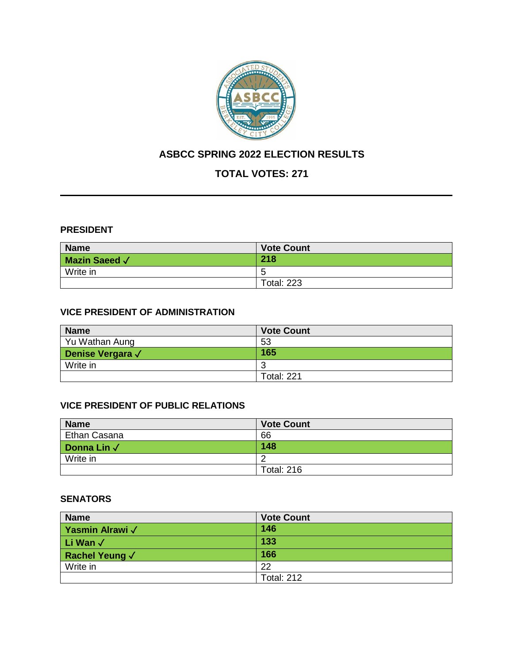

## **ASBCC SPRING 2022 ELECTION RESULTS**

# **TOTAL VOTES: 271**

#### **PRESIDENT**

| <b>Name</b>          | <b>Vote Count</b> |  |
|----------------------|-------------------|--|
| <b>Mazin Saeed √</b> | 218               |  |
| Write in             | b                 |  |
|                      | <b>Total: 223</b> |  |

## **VICE PRESIDENT OF ADMINISTRATION**

| <b>Name</b>             | <b>Vote Count</b>                      |
|-------------------------|----------------------------------------|
| Yu Wathan Aung          | 53                                     |
| <b>Denise Vergara √</b> | 165                                    |
| Write in                | $\overline{ }$<br>$\ddot{\phantom{a}}$ |
|                         | <b>Total: 221</b>                      |

## **VICE PRESIDENT OF PUBLIC RELATIONS**

| <b>Name</b>         | <b>Vote Count</b> |
|---------------------|-------------------|
| <b>Ethan Casana</b> | 66                |
| Donna Lin $\sqrt{}$ | 148               |
| Write in            |                   |
|                     | <b>Total: 216</b> |

### **SENATORS**

| <b>Name</b>           | <b>Vote Count</b> |
|-----------------------|-------------------|
| Yasmin Alrawi √       | 146               |
| Li Wan √              | 133               |
| <b>Rachel Yeung √</b> | 166               |
| Write in              | 22                |
|                       | <b>Total: 212</b> |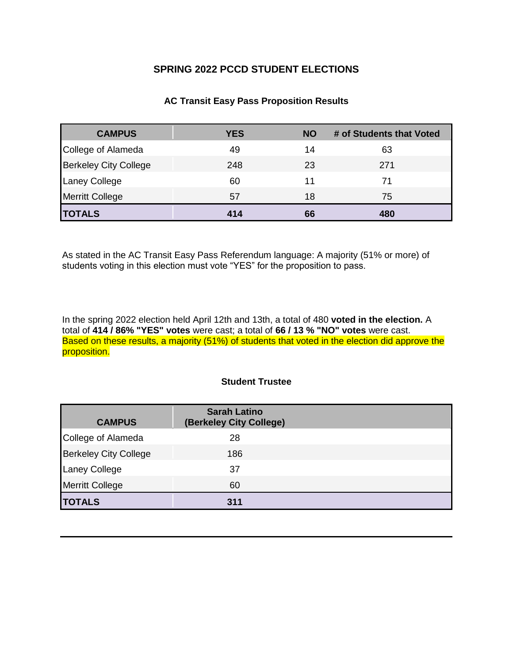## **SPRING 2022 PCCD STUDENT ELECTIONS**

#### **AC Transit Easy Pass Proposition Results**

| <b>CAMPUS</b>                | <b>YES</b> | <b>NO</b> | # of Students that Voted |
|------------------------------|------------|-----------|--------------------------|
| College of Alameda           | 49         | 14        | 63                       |
| <b>Berkeley City College</b> | 248        | 23        | 271                      |
| <b>Laney College</b>         | 60         | 11        | 71                       |
| <b>Merritt College</b>       | 57         | 18        | 75                       |
| <b>TOTALS</b>                | 414        | 66        | 480                      |

As stated in the AC Transit Easy Pass Referendum language: A majority (51% or more) of students voting in this election must vote "YES" for the proposition to pass.

In the spring 2022 election held April 12th and 13th, a total of 480 voted in the election. A total of 414 / 86% "YES" votes were cast; a total of 66 / 13 % "NO" votes were cast. Based on these results, a majority (51%) of students that voted in the election did approve the proposition.

#### **Student Trustee**

| <b>CAMPUS</b>                | <b>Sarah Latino</b><br>(Berkeley City College) |  |
|------------------------------|------------------------------------------------|--|
| College of Alameda           | 28                                             |  |
| <b>Berkeley City College</b> | 186                                            |  |
| <b>Laney College</b>         | 37                                             |  |
| <b>Merritt College</b>       | 60                                             |  |
| <b>TOTALS</b>                | 311                                            |  |